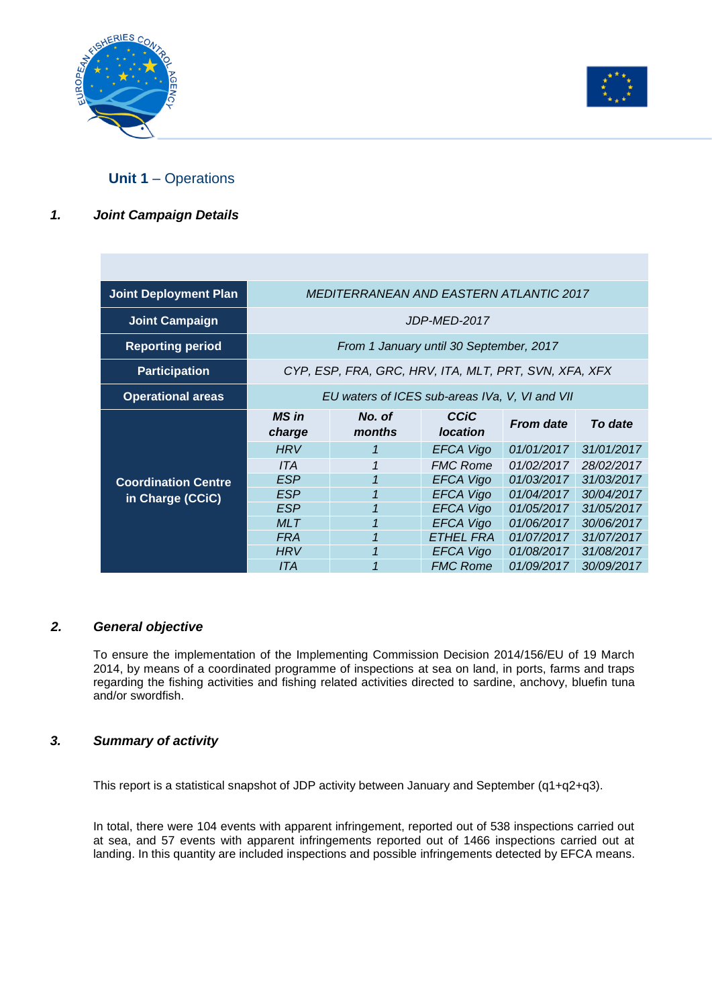



# **Unit 1** – Operations

## *1. Joint Campaign Details*

| <b>Joint Deployment Plan</b> | <b>MEDITERRANEAN AND EASTERN ATLANTIC 2017</b>        |              |                                     |                  |            |
|------------------------------|-------------------------------------------------------|--------------|-------------------------------------|------------------|------------|
| <b>Joint Campaign</b>        | JDP-MED-2017                                          |              |                                     |                  |            |
| <b>Reporting period</b>      | From 1 January until 30 September, 2017               |              |                                     |                  |            |
| <b>Participation</b>         | CYP, ESP, FRA, GRC, HRV, ITA, MLT, PRT, SVN, XFA, XFX |              |                                     |                  |            |
| <b>Operational areas</b>     | EU waters of ICES sub-areas IVa, V, VI and VII        |              |                                     |                  |            |
|                              | <b>MS</b> in                                          | No. of       | <b>CCiC</b>                         |                  |            |
|                              | charge                                                | months       | <b>location</b>                     | <b>From date</b> | To date    |
|                              | <b>HRV</b>                                            | 1            | EFCA Vigo                           | 01/01/2017       | 31/01/2017 |
|                              | ITA                                                   | 1            | <b>FMC Rome</b>                     | 01/02/2017       | 28/02/2017 |
| <b>Coordination Centre</b>   | <b>ESP</b>                                            | $\mathbf{1}$ | <b>EFCA Vigo</b>                    | 01/03/2017       | 31/03/2017 |
|                              | <b>ESP</b>                                            | 1            | <b>EFCA Vigo</b>                    | 01/04/2017       | 30/04/2017 |
| in Charge (CCiC)             | <b>ESP</b>                                            |              | <b>EFCA Vigo</b>                    | 01/05/2017       | 31/05/2017 |
|                              | <b>MLT</b>                                            | 1            | <b>EFCA Vigo</b>                    | 01/06/2017       | 30/06/2017 |
|                              | <b>FRA</b>                                            | $\mathbf{1}$ | <b>ETHEL FRA</b>                    | 01/07/2017       | 31/07/2017 |
|                              | <b>HRV</b>                                            |              | <b>EFCA Vigo</b><br><b>FMC Rome</b> | 01/08/2017       | 31/08/2017 |

#### *2. General objective*

To ensure the implementation of the Implementing Commission Decision 2014/156/EU of 19 March 2014, by means of a coordinated programme of inspections at sea on land, in ports, farms and traps regarding the fishing activities and fishing related activities directed to sardine, anchovy, bluefin tuna and/or swordfish.

## *3. Summary of activity*

This report is a statistical snapshot of JDP activity between January and September (q1+q2+q3).

In total, there were 104 events with apparent infringement, reported out of 538 inspections carried out at sea, and 57 events with apparent infringements reported out of 1466 inspections carried out at landing. In this quantity are included inspections and possible infringements detected by EFCA means.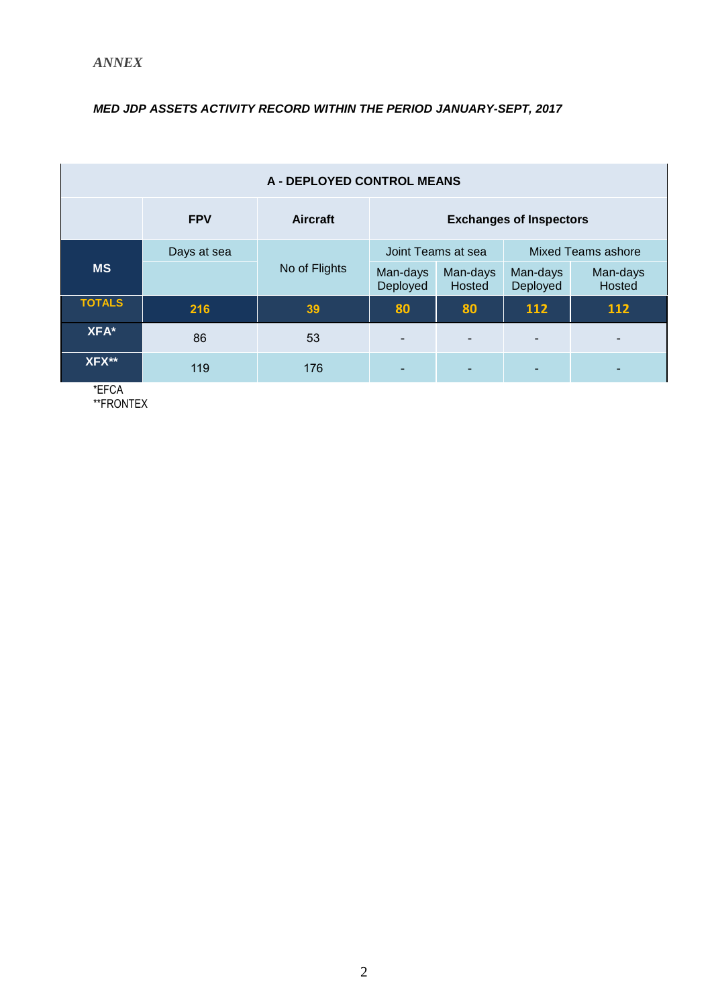## *MED JDP ASSETS ACTIVITY RECORD WITHIN THE PERIOD JANUARY-SEPT, 2017*

| A - DEPLOYED CONTROL MEANS |             |               |                                |                    |                           |                    |
|----------------------------|-------------|---------------|--------------------------------|--------------------|---------------------------|--------------------|
|                            | <b>FPV</b>  | Aircraft      | <b>Exchanges of Inspectors</b> |                    |                           |                    |
|                            | Days at sea |               | Joint Teams at sea             |                    | <b>Mixed Teams ashore</b> |                    |
| <b>MS</b>                  |             | No of Flights | Man-days<br>Deployed           | Man-days<br>Hosted | Man-days<br>Deployed      | Man-days<br>Hosted |
| <b>TOTALS</b>              | 216         | 39            | 80                             | 80                 | 112                       | 112                |
| XFA*                       | 86          | 53            |                                |                    | $\blacksquare$            | ٠                  |
| XFX**                      | 119         | 176           |                                |                    | ٠                         | ۰                  |

\*EFCA \*\*FRONTEX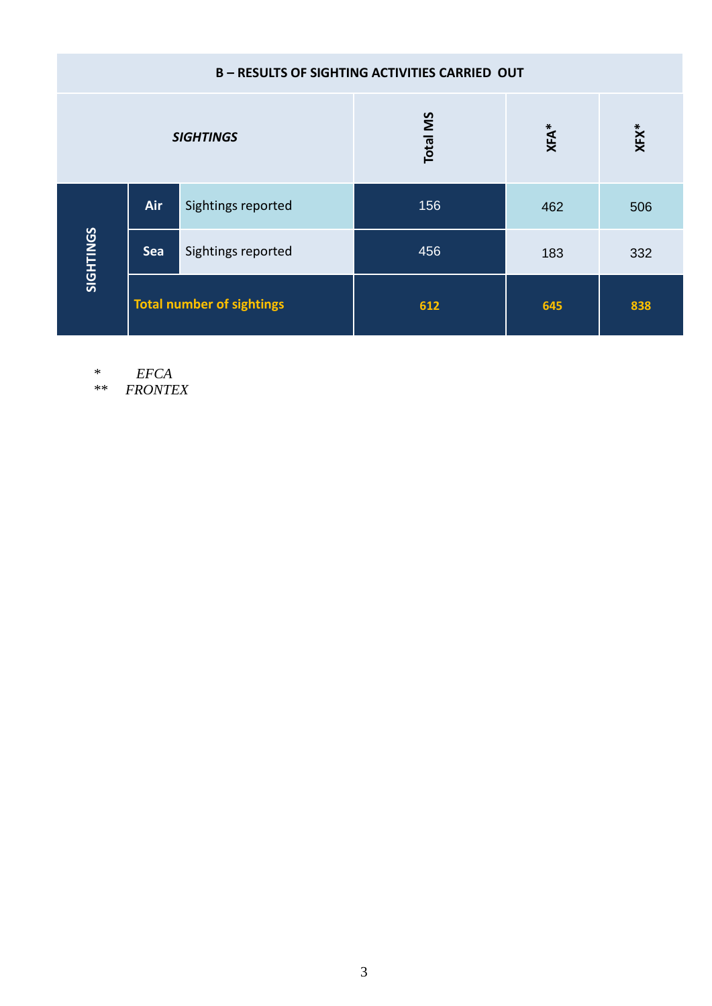| <b>B-RESULTS OF SIGHTING ACTIVITIES CARRIED OUT</b> |                                  |                    |                 |             |         |  |
|-----------------------------------------------------|----------------------------------|--------------------|-----------------|-------------|---------|--|
|                                                     |                                  | <b>SIGHTINGS</b>   | <b>Total MS</b> | <b>XFA*</b> | $XFX^*$ |  |
|                                                     | Air                              | Sightings reported | 156             | 462         | 506     |  |
| SIGHTINGS                                           | <b>Sea</b>                       | Sightings reported | 456             | 183         | 332     |  |
|                                                     | <b>Total number of sightings</b> |                    | 612             | 645         | 838     |  |

*\* EFCA*

*\*\* FRONTEX*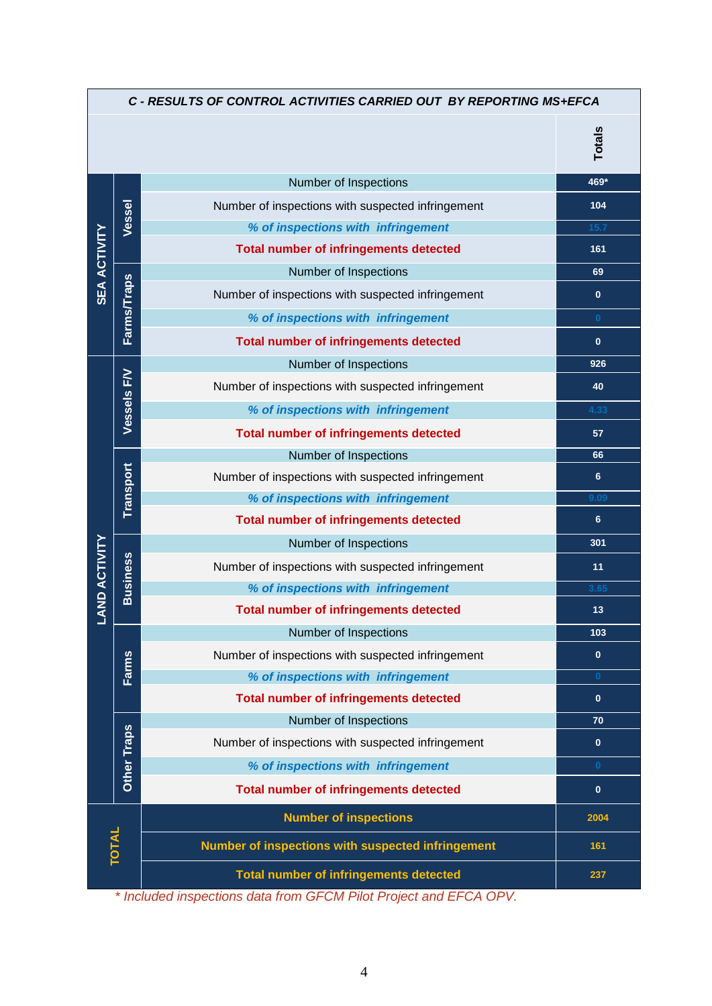| C - RESULTS OF CONTROL ACTIVITIES CARRIED OUT BY REPORTING MS+EFCA |                    |                                                   |               |  |
|--------------------------------------------------------------------|--------------------|---------------------------------------------------|---------------|--|
|                                                                    |                    |                                                   | <b>Totals</b> |  |
|                                                                    |                    | Number of Inspections                             | 469*          |  |
|                                                                    |                    | Number of inspections with suspected infringement | 104           |  |
|                                                                    | Vessel             | % of inspections with infringement                | 15.7          |  |
| <b>SEA ACTIVITY</b>                                                |                    | <b>Total number of infringements detected</b>     | 161           |  |
|                                                                    |                    | Number of Inspections                             | 69            |  |
|                                                                    | <b>Farms/Traps</b> | Number of inspections with suspected infringement | $\mathbf{0}$  |  |
|                                                                    |                    | % of inspections with infringement                | $\mathbf{0}$  |  |
|                                                                    |                    | <b>Total number of infringements detected</b>     | $\mathbf{0}$  |  |
|                                                                    |                    | Number of Inspections                             | 926           |  |
|                                                                    |                    | Number of inspections with suspected infringement | 40            |  |
|                                                                    | Vessels F/V        | % of inspections with infringement                | 4.33          |  |
|                                                                    |                    | <b>Total number of infringements detected</b>     | 57            |  |
|                                                                    |                    | Number of Inspections                             | 66            |  |
|                                                                    | Transport          | Number of inspections with suspected infringement | 6             |  |
|                                                                    |                    | % of inspections with infringement                | 9.09          |  |
|                                                                    |                    | <b>Total number of infringements detected</b>     | 6             |  |
|                                                                    |                    | Number of Inspections                             | 301           |  |
|                                                                    | <b>Business</b>    | Number of inspections with suspected infringement | 11            |  |
|                                                                    |                    | % of inspections with infringement                | 3.65          |  |
| <b>LAND ACTIVITY</b>                                               |                    | <b>Total number of infringements detected</b>     | 13            |  |
|                                                                    |                    | Number of Inspections                             | 103           |  |
|                                                                    | Farms              | Number of inspections with suspected infringement | $\mathbf{0}$  |  |
|                                                                    |                    | % of inspections with infringement                | $\mathbf{0}$  |  |
|                                                                    |                    | <b>Total number of infringements detected</b>     | $\mathbf{0}$  |  |
|                                                                    |                    | Number of Inspections                             | 70            |  |
|                                                                    | Other Traps        | Number of inspections with suspected infringement | $\mathbf{0}$  |  |
|                                                                    |                    | % of inspections with infringement                | $\bf{0}$      |  |
|                                                                    |                    | <b>Total number of infringements detected</b>     | $\mathbf{0}$  |  |
|                                                                    |                    | <b>Number of inspections</b>                      | 2004          |  |
|                                                                    | <b>TOTAL</b>       | Number of inspections with suspected infringement | 161           |  |
|                                                                    |                    | <b>Total number of infringements detected</b>     | 237           |  |

*\* Included inspections data from GFCM Pilot Project and EFCA OPV.*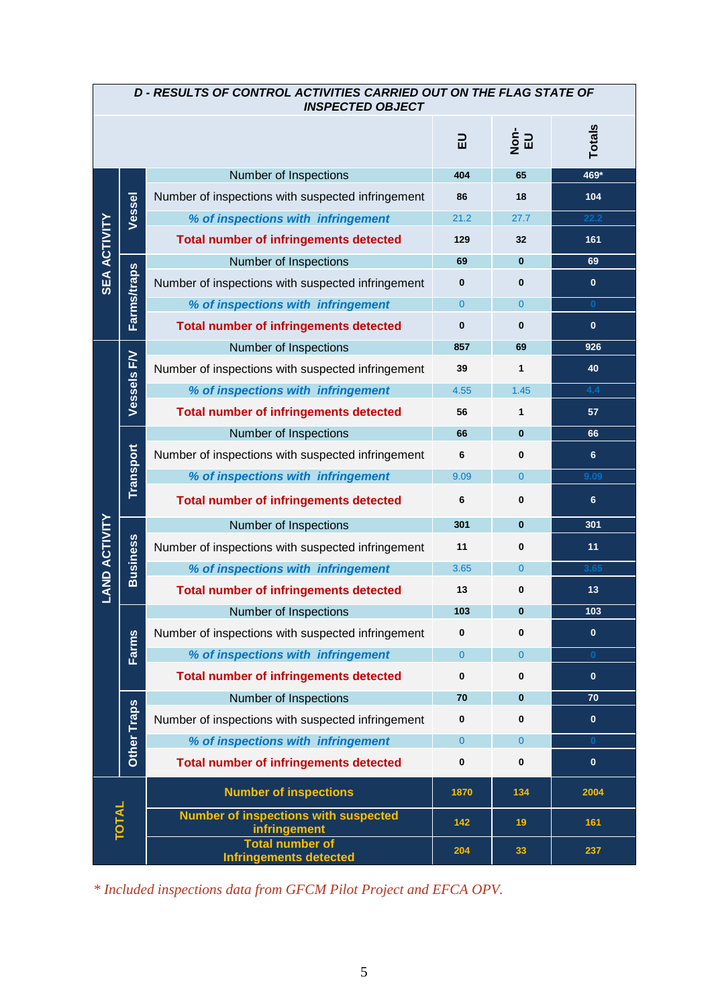| <b>D-RESULTS OF CONTROL ACTIVITIES CARRIED OUT ON THE FLAG STATE OF</b><br><b>INSPECTED OBJECT</b> |                    |                                                             |                |                |              |
|----------------------------------------------------------------------------------------------------|--------------------|-------------------------------------------------------------|----------------|----------------|--------------|
|                                                                                                    |                    |                                                             | 긊              | ים<br>שפ       | Totals       |
|                                                                                                    |                    | Number of Inspections                                       | 404            | 65             | 469*         |
|                                                                                                    | Vessel             | Number of inspections with suspected infringement           | 86             | 18             | 104          |
|                                                                                                    |                    | % of inspections with infringement                          | 21.2           | 27.7           | 22.2         |
| <b>SEA ACTIVITY</b>                                                                                |                    | <b>Total number of infringements detected</b>               | 129            | 32             | 161          |
|                                                                                                    |                    | Number of Inspections                                       | 69             | $\bf{0}$       | 69           |
|                                                                                                    | <b>Farms/traps</b> | Number of inspections with suspected infringement           | 0              | $\bf{0}$       | $\mathbf{0}$ |
|                                                                                                    |                    | % of inspections with infringement                          | $\Omega$       | $\overline{0}$ | $\bf{0}$     |
|                                                                                                    |                    | <b>Total number of infringements detected</b>               | 0              | $\bf{0}$       | $\mathbf{0}$ |
|                                                                                                    |                    | Number of Inspections                                       | 857            | 69             | 926          |
|                                                                                                    | Vessels F/V        | Number of inspections with suspected infringement           | 39             | $\mathbf 1$    | 40           |
|                                                                                                    |                    | % of inspections with infringement                          | 4.55           | 1.45           | 4.4          |
|                                                                                                    |                    | <b>Total number of infringements detected</b>               | 56             | $\mathbf{1}$   | 57           |
|                                                                                                    |                    | Number of Inspections                                       | 66             | $\bf{0}$       | 66           |
|                                                                                                    |                    | Number of inspections with suspected infringement           | 6              | $\bf{0}$       | 6            |
|                                                                                                    | Transport          | % of inspections with infringement                          | 9.09           | $\mathbf{0}$   | 9.09         |
|                                                                                                    |                    | <b>Total number of infringements detected</b>               | 6              | $\bf{0}$       | 6            |
|                                                                                                    |                    | Number of Inspections                                       | 301            | $\mathbf{0}$   | 301          |
| <b>LAND ACTIVITY</b>                                                                               | <b>Business</b>    | Number of inspections with suspected infringement           | 11             | $\bf{0}$       | 11           |
|                                                                                                    |                    | % of inspections with infringement                          | 3.65           | $\overline{0}$ | 3.65         |
|                                                                                                    |                    | <b>Total number of infringements detected</b>               | 13             | $\bf{0}$       | 13           |
|                                                                                                    |                    | Number of Inspections                                       | 103            | $\bf{0}$       | 103          |
|                                                                                                    | Farms              | Number of inspections with suspected infringement           | 0              | $\bf{0}$       | $\mathbf{0}$ |
|                                                                                                    |                    | % of inspections with infringement                          | $\overline{0}$ | $\overline{0}$ | $\bf{0}$     |
|                                                                                                    |                    | <b>Total number of infringements detected</b>               | 0              | $\bf{0}$       | $\mathbf{0}$ |
|                                                                                                    | Other Traps        | Number of Inspections                                       | 70             | $\bf{0}$       | 70           |
|                                                                                                    |                    | Number of inspections with suspected infringement           | 0              | 0              | $\mathbf{0}$ |
|                                                                                                    |                    | % of inspections with infringement                          | $\overline{0}$ | $\overline{0}$ | $\bf{0}$     |
|                                                                                                    |                    | <b>Total number of infringements detected</b>               | 0              | $\bf{0}$       | $\mathbf{0}$ |
|                                                                                                    |                    | <b>Number of inspections</b>                                | 1870           | 134            | 2004         |
|                                                                                                    | <b>TOTAL</b>       | <b>Number of inspections with suspected</b><br>infringement | 142            | 19             | 161          |
|                                                                                                    |                    | <b>Total number of</b><br><b>Infringements detected</b>     | 204            | 33             | 237          |

*\* Included inspections data from GFCM Pilot Project and EFCA OPV.*